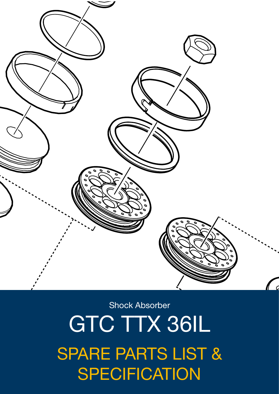# $SPECTICATION$ *Spare Parts List* SPARE PARTS LIST & GTC TTX 36IL

Shock Absorber

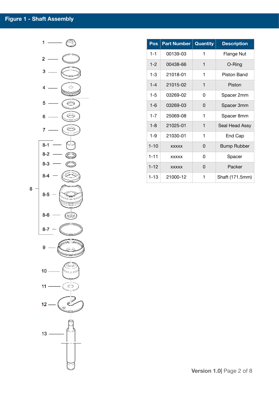

| Pos      | <b>Part Number</b> | <b>Quantity</b> | <b>Description</b> |
|----------|--------------------|-----------------|--------------------|
| $1 - 1$  | 00139-03           | 1               | <b>Flange Nut</b>  |
| $1 - 2$  | 00438-66           | 1               | O-Ring             |
| $1 - 3$  | 21018-01           | 1               | Piston Band        |
| $1 - 4$  | 21015-02           | 1               | Piston             |
| $1 - 5$  | 03269-02           | 0               | Spacer 2mm         |
| $1 - 6$  | 03269-03           | 0               | Spacer 3mm         |
| $1 - 7$  | 25069-08           | 1               | Spacer 8mm         |
| $1 - 8$  | 21025-01           | 1               | Seal Head Assy     |
| $1 - 9$  | 21030-01           | 1               | End Cap            |
| $1 - 10$ | <b>XXXXX</b>       | 0               | <b>Bump Rubber</b> |
| $1 - 11$ | <b>XXXXX</b>       | ი               | Spacer             |
| $1 - 12$ | <b>XXXXX</b>       | ი               | Packer             |
| $1 - 13$ | 21000-12           | 1               | Shaft (171.5mm)    |

**Version 1.0**| Page 2 of 8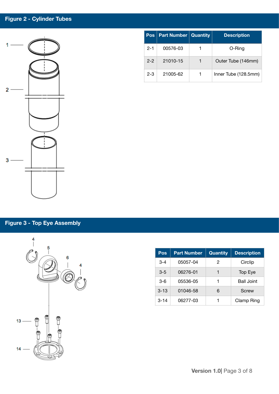#### **Figure 2 - Cylinder Tubes**



# **Pos Part Number Quantity Description** 2-1 00576-03 1 O-Ring 2-2 21010-15 1 Outer Tube (146mm) 2-3 21005-62 1 Inner Tube (128.5mm)

### **Figure 3 - Top Eye Assembly**



| Pos      | <b>Part Number</b> | <b>Quantity</b> | <b>Description</b> |
|----------|--------------------|-----------------|--------------------|
| $3-4$    | 05057-04           | 2               | Circlip            |
| $3 - 5$  | 06276-01           | 1               | Top Eye            |
| $3-6$    | 05536-05           | 1               | <b>Ball Joint</b>  |
| $3 - 13$ | 01046-58           | 6               | Screw              |
| $3 - 14$ | 06277-03           |                 | Clamp Ring         |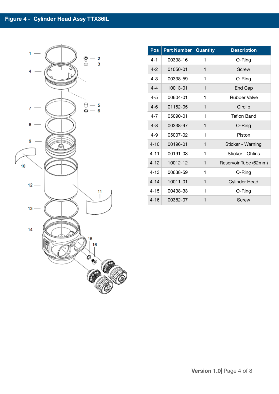

| Pos      | <b>Part Number</b> | <b>Quantity</b> | <b>Description</b>    |
|----------|--------------------|-----------------|-----------------------|
| $4 - 1$  | 00338-16           | 1               | O-Ring                |
| $4 - 2$  | 01050-01           | 1               | Screw                 |
| $4 - 3$  | 00338-59           | 1               | O-Ring                |
| $4 - 4$  | 10013-01           | 1               | End Cap               |
| $4 - 5$  | 00604-01           | 1               | <b>Rubber Valve</b>   |
| $4 - 6$  | 01152-05           | 1               | Circlip               |
| $4 - 7$  | 05090-01           | 1               | <b>Teflon Band</b>    |
| $4 - 8$  | 00338-97           | 1               | O-Ring                |
| $4 - 9$  | 05007-02           | 1               | Piston                |
| $4 - 10$ | 00196-01           | 1               | Sticker - Warning     |
| $4 - 11$ | 00191-03           | 1               | Sticker - Ohlins      |
| $4 - 12$ | 10012-12           | 1               | Reservoir Tube (62mm) |
| $4 - 13$ | 00638-59           | 1               | O-Ring                |
| $4 - 14$ | 10011-01           | 1               | <b>Cylinder Head</b>  |
| $4 - 15$ | 00438-33           | 1               | O-Ring                |
| $4 - 16$ | 00382-07           | 1               | Screw                 |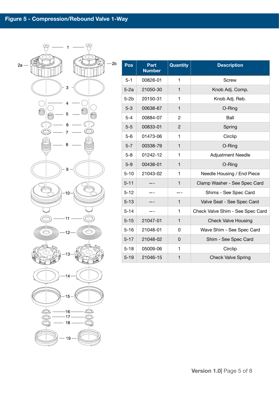

| Pos      | Part<br><b>Number</b> | <b>Quantity</b> | <b>Description</b>               |
|----------|-----------------------|-----------------|----------------------------------|
| $5 - 1$  | 00828-01              | 1               | Screw                            |
| $5-2a$   | 21050-30              | 1               | Knob Adj. Comp.                  |
| $5-2b$   | 20150-31              | 1               | Knob Adj. Reb.                   |
| $5 - 3$  | 00638-67              | $\mathbf{1}$    | O-Ring                           |
| $5 - 4$  | 00884-07              | $\overline{c}$  | Ball                             |
| $5 - 5$  | 00833-01              | $\overline{2}$  | Spring                           |
| $5 - 6$  | 01473-06              | 1               | Circlip                          |
| $5 - 7$  | 00338-79              | $\mathbf{1}$    | O-Ring                           |
| $5 - 8$  | 01242-12              | 1               | <b>Adjustment Needle</b>         |
| $5-9$    | 00438-01              | 1               | O-Ring                           |
| $5 - 10$ | 21043-02              | 1               | Needle Housing / End Piece       |
| $5 - 11$ |                       | 1               | Clamp Washer - See Spec Card     |
| $5 - 12$ |                       |                 | Shims - See Spec Card            |
| $5 - 13$ |                       | 1               | Valve Seat - See Spec Card       |
| $5 - 14$ |                       | 1               | Check Valve Shim - See Spec Card |
| $5 - 15$ | 21047-01              | 1               | <b>Check Valve Housing</b>       |
| $5 - 16$ | 21048-01              | 0               | Wave Shim - See Spec Card        |
| $5 - 17$ | 21048-02              | 0               | Shim - See Spec Card             |
| $5 - 18$ | 05009-06              | $\mathbf{1}$    | Circlip                          |
| $5 - 19$ | 21046-15              | 1               | <b>Check Valve Spring</b>        |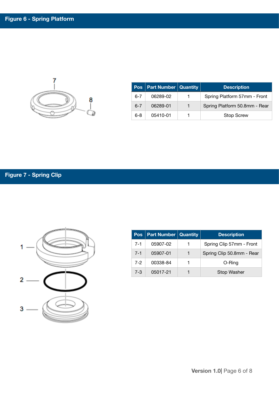

|         | Pos   Part Number   Quantity |                | <b>Description</b>            |  |  |
|---------|------------------------------|----------------|-------------------------------|--|--|
| $6 - 7$ | 06289-02                     |                | Spring Platform 57mm - Front  |  |  |
| $6 - 7$ | 06289-01                     | $\blacksquare$ | Spring Platform 50.8mm - Rear |  |  |
| $6 - 8$ | 05410-01                     |                | <b>Stop Screw</b>             |  |  |

## **Figure 7 - Spring Clip**



| <b>Pos</b> | <b>Part Number   Quantity</b> |   | <b>Description</b>        |  |  |  |
|------------|-------------------------------|---|---------------------------|--|--|--|
| $7 - 1$    | 05907-02                      | 1 | Spring Clip 57mm - Front  |  |  |  |
| $7 - 1$    | 05907-01                      | 1 | Spring Clip 50.8mm - Rear |  |  |  |
| $7-2$      | 00338-84                      |   | O-Ring                    |  |  |  |
| $7 - 3$    | 05017-21                      |   | Stop Washer               |  |  |  |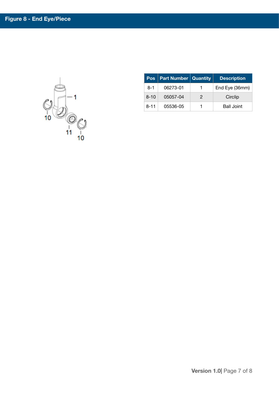$O = 1$ 

|          | <b>Pos</b>   Part Number   Quantity |   | <b>Description</b> |
|----------|-------------------------------------|---|--------------------|
| $8-1$    | 06273-01                            |   | End Eye (36mm)     |
| $8 - 10$ | 05057-04                            | 2 | Circlip            |
| $8 - 11$ | 05536-05                            |   | <b>Ball Joint</b>  |